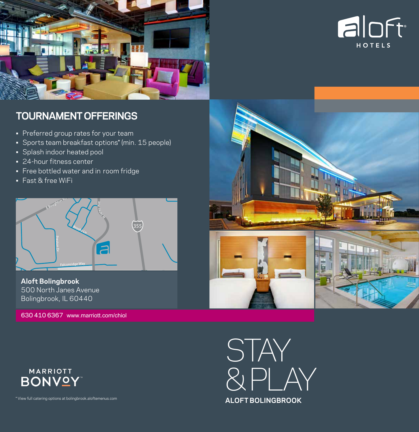



# **TOURNAMENT OFFERINGS**

- Preferred group rates for your team
- Sports team breakfast options\* (min. 15 people)
- Splash indoor heated pool
- 24-hour fitness center
- • Free bottled water and in room fridge
- Fast & free WiFi



**Aloft Bolingbrook**  500 North Janes Avenue Bolingbrook, IL 60440

630 410 6367 www.marriott.com/chiol